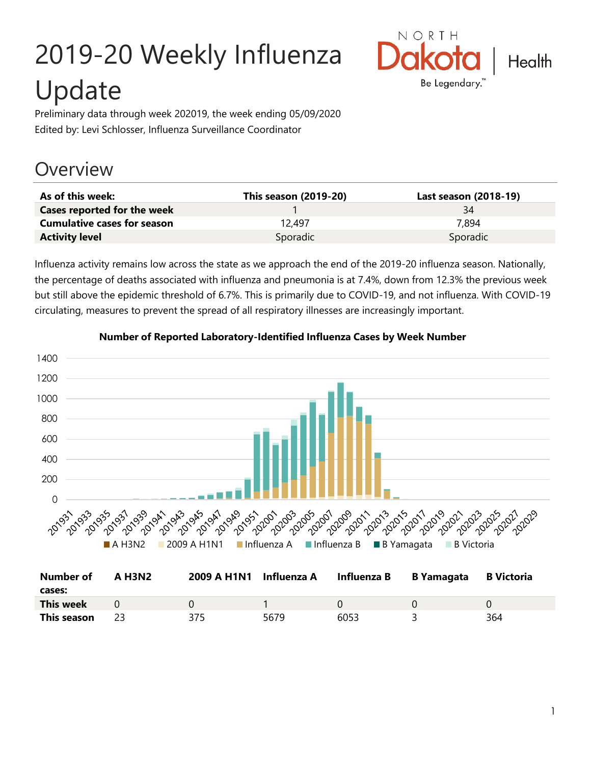# 2019-20 Weekly Influenza Update



Preliminary data through week 202019, the week ending 05/09/2020 Edited by: Levi Schlosser, Influenza Surveillance Coordinator

# **Overview**

| As of this week:                   | This season (2019-20) | Last season (2018-19) |
|------------------------------------|-----------------------|-----------------------|
| Cases reported for the week        |                       | 34                    |
| <b>Cumulative cases for season</b> | 12.497                | 7.894                 |
| <b>Activity level</b>              | Sporadic              | Sporadic              |

Influenza activity remains low across the state as we approach the end of the 2019-20 influenza season. Nationally, the percentage of deaths associated with influenza and pneumonia is at 7.4%, down from 12.3% the previous week but still above the epidemic threshold of 6.7%. This is primarily due to COVID-19, and not influenza. With COVID-19 circulating, measures to prevent the spread of all respiratory illnesses are increasingly important.



**This season** 23 375 5679 6053 3 364

#### **Number of Reported Laboratory-Identified Influenza Cases by Week Number**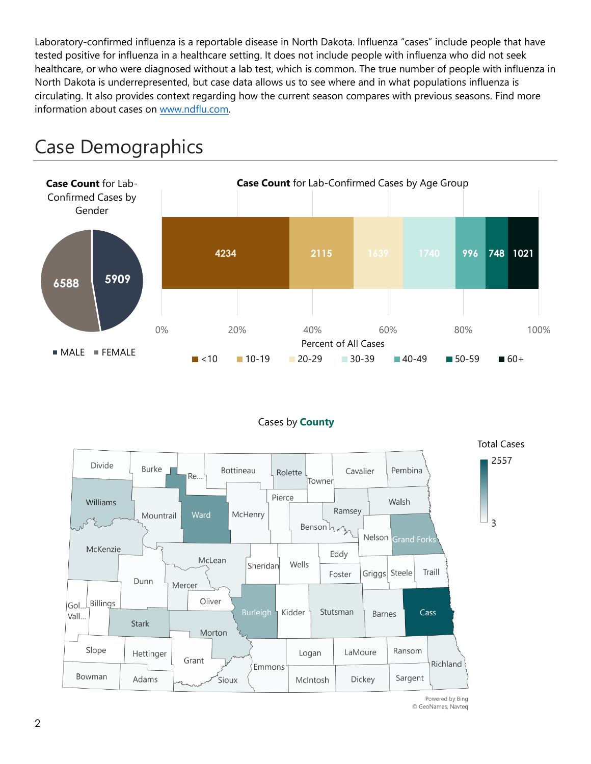Laboratory-confirmed influenza is a reportable disease in North Dakota. Influenza "cases" include people that have tested positive for influenza in a healthcare setting. It does not include people with influenza who did not seek healthcare, or who were diagnosed without a lab test, which is common. The true number of people with influenza in North Dakota is underrepresented, but case data allows us to see where and in what populations influenza is circulating. It also provides context regarding how the current season compares with previous seasons. Find more information about cases on [www.ndflu.com.](file://///nd.gov/doh/DOH-DATA/MSS/DC/PROGRAM/IMMUNE/Immunize/Influenza/Inf18-19/Surveillance/Weekly%20Summaries/www.ndflu.com)







Powered by Bing © GeoNames, Navteq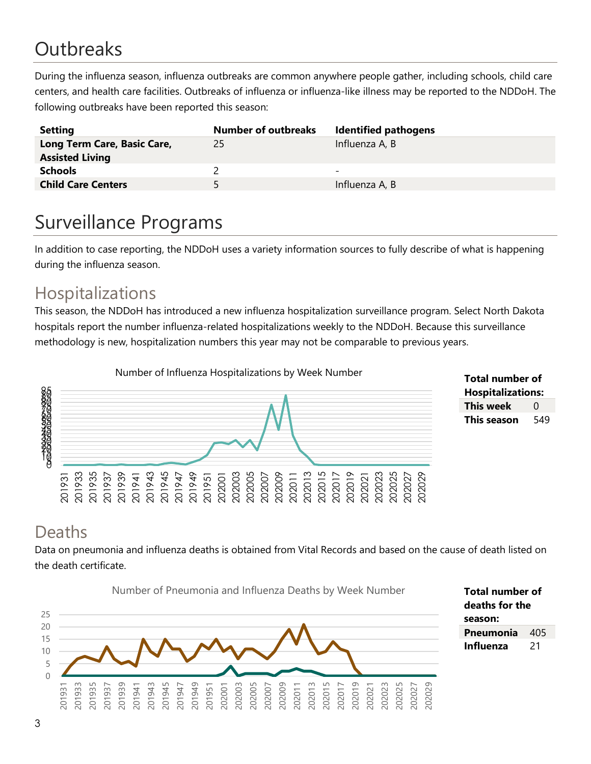# **Outbreaks**

During the influenza season, influenza outbreaks are common anywhere people gather, including schools, child care centers, and health care facilities. Outbreaks of influenza or influenza-like illness may be reported to the NDDoH. The following outbreaks have been reported this season:

| <b>Setting</b>                                        | <b>Number of outbreaks</b> | <b>Identified pathogens</b> |
|-------------------------------------------------------|----------------------------|-----------------------------|
| Long Term Care, Basic Care,<br><b>Assisted Living</b> | 25                         | Influenza A, B              |
| <b>Schools</b>                                        |                            | $\overline{\phantom{0}}$    |
| <b>Child Care Centers</b>                             | 5.                         | Influenza A, B              |

# Surveillance Programs

In addition to case reporting, the NDDoH uses a variety information sources to fully describe of what is happening during the influenza season.

#### Hospitalizations

This season, the NDDoH has introduced a new influenza hospitalization surveillance program. Select North Dakota hospitals report the number influenza-related hospitalizations weekly to the NDDoH. Because this surveillance methodology is new, hospitalization numbers this year may not be comparable to previous years.



**Total number of Hospitalizations: This week** 0 **This season** 549

#### Deaths

Data on pneumonia and influenza deaths is obtained from Vital Records and based on the cause of death listed on the death certificate.



**Total number of deaths for the**  Pneumonia 405 **Influenza** 21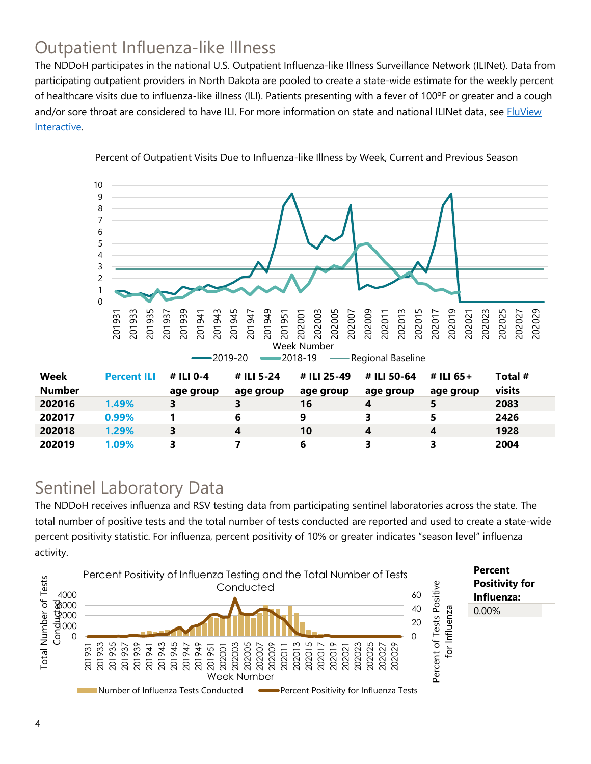## Outpatient Influenza-like Illness

The NDDoH participates in the national U.S. Outpatient Influenza-like Illness Surveillance Network (ILINet). Data from participating outpatient providers in North Dakota are pooled to create a state-wide estimate for the weekly percent of healthcare visits due to influenza-like illness (ILI). Patients presenting with a fever of 100ºF or greater and a cough and/or sore throat are considered to have ILI. For more information on state and national ILINet data, see **FluView** [Interactive.](https://gis.cdc.gov/grasp/fluview/fluportaldashboard.html)



Percent of Outpatient Visits Due to Influenza-like Illness by Week, Current and Previous Season

#### Sentinel Laboratory Data

The NDDoH receives influenza and RSV testing data from participating sentinel laboratories across the state. The total number of positive tests and the total number of tests conducted are reported and used to create a state-wide percent positivity statistic. For influenza, percent positivity of 10% or greater indicates "season level" influenza activity.

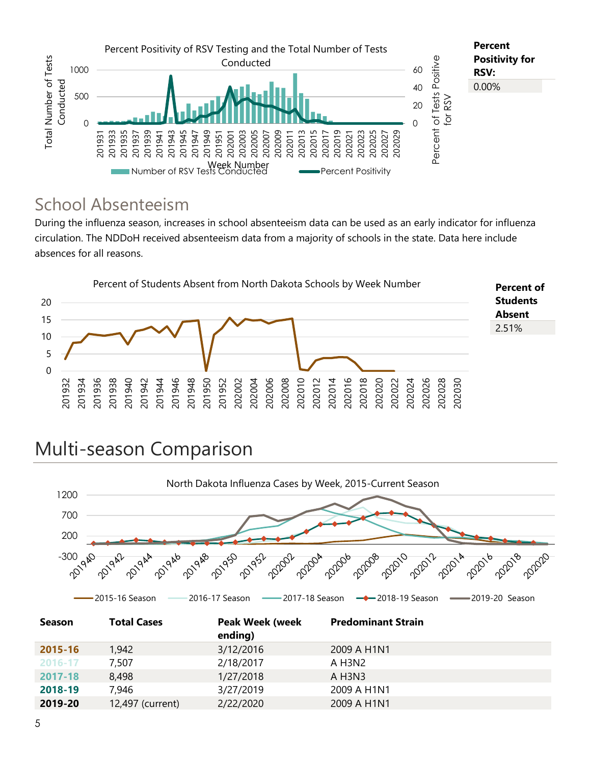

#### School Absenteeism

During the influenza season, increases in school absenteeism data can be used as an early indicator for influenza circulation. The NDDoH received absenteeism data from a majority of schools in the state. Data here include absences for all reasons.



# Multi-season Comparison